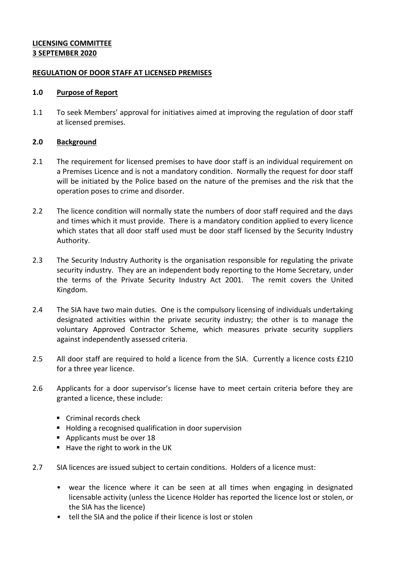### **LICENSING COMMITTEE 3 SEPTEMBER 2020**

#### **REGULATION OF DOOR STAFF AT LICENSED PREMISES**

#### **1.0 Purpose of Report**

1.1 To seek Members' approval for initiatives aimed at improving the regulation of door staff at licensed premises.

#### **2.0 Background**

- 2.1 The requirement for licensed premises to have door staff is an individual requirement on a Premises Licence and is not a mandatory condition. Normally the request for door staff will be initiated by the Police based on the nature of the premises and the risk that the operation poses to crime and disorder.
- 2.2 The licence condition will normally state the numbers of door staff required and the days and times which it must provide. There is a mandatory condition applied to every licence which states that all door staff used must be door staff licensed by the Security Industry Authority.
- 2.3 The Security Industry Authority is the organisation responsible for regulating the private security industry. They are an independent body reporting to the Home Secretary, under the terms of the Private Security Industry Act 2001. The remit covers the United Kingdom.
- 2.4 The SIA have two main duties. One is the compulsory licensing of individuals undertaking designated activities within the private security industry; the other is to manage the voluntary Approved Contractor Scheme, which measures private security suppliers against independently assessed criteria.
- 2.5 All door staff are required to hold a licence from the SIA. Currently a licence costs £210 for a three year licence.
- 2.6 Applicants for a door supervisor's license have to meet certain criteria before they are granted a licence, these include:
	- Criminal records check
	- **Holding a recognised qualification in door supervision**
	- Applicants must be over 18
	- $\blacksquare$  Have the right to work in the UK
- 2.7 SIA licences are issued subject to certain conditions. Holders of a licence must:
	- wear the licence where it can be seen at all times when engaging in designated licensable activity (unless the Licence Holder has reported the licence lost or stolen, or the SIA has the licence)
	- tell the SIA and the police if their licence is lost or stolen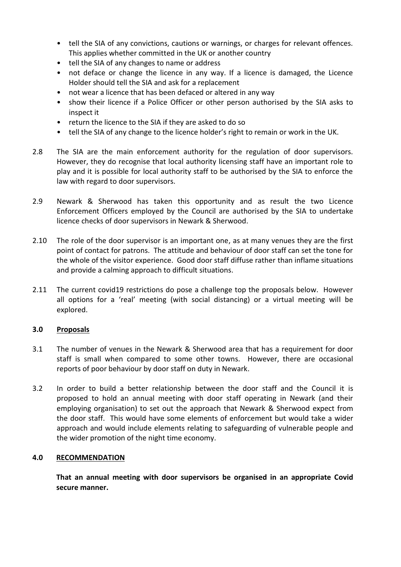- tell the SIA of any convictions, cautions or warnings, or charges for relevant offences. This applies whether committed in the UK or another country
- tell the SIA of any changes to name or address
- not deface or change the licence in any way. If a licence is damaged, the Licence Holder should tell the SIA and ask for a replacement
- not wear a licence that has been defaced or altered in any way
- show their licence if a Police Officer or other person authorised by the SIA asks to inspect it
- return the licence to the SIA if they are asked to do so
- tell the SIA of any change to the licence holder's right to remain or work in the UK.
- 2.8 The SIA are the main enforcement authority for the regulation of door supervisors. However, they do recognise that local authority licensing staff have an important role to play and it is possible for local authority staff to be authorised by the SIA to enforce the law with regard to door supervisors.
- 2.9 Newark & Sherwood has taken this opportunity and as result the two Licence Enforcement Officers employed by the Council are authorised by the SIA to undertake licence checks of door supervisors in Newark & Sherwood.
- 2.10 The role of the door supervisor is an important one, as at many venues they are the first point of contact for patrons. The attitude and behaviour of door staff can set the tone for the whole of the visitor experience. Good door staff diffuse rather than inflame situations and provide a calming approach to difficult situations.
- 2.11 The current covid19 restrictions do pose a challenge top the proposals below. However all options for a 'real' meeting (with social distancing) or a virtual meeting will be explored.

## **3.0 Proposals**

- 3.1 The number of venues in the Newark & Sherwood area that has a requirement for door staff is small when compared to some other towns. However, there are occasional reports of poor behaviour by door staff on duty in Newark.
- 3.2 In order to build a better relationship between the door staff and the Council it is proposed to hold an annual meeting with door staff operating in Newark (and their employing organisation) to set out the approach that Newark & Sherwood expect from the door staff. This would have some elements of enforcement but would take a wider approach and would include elements relating to safeguarding of vulnerable people and the wider promotion of the night time economy.

#### **4.0 RECOMMENDATION**

**That an annual meeting with door supervisors be organised in an appropriate Covid secure manner.**